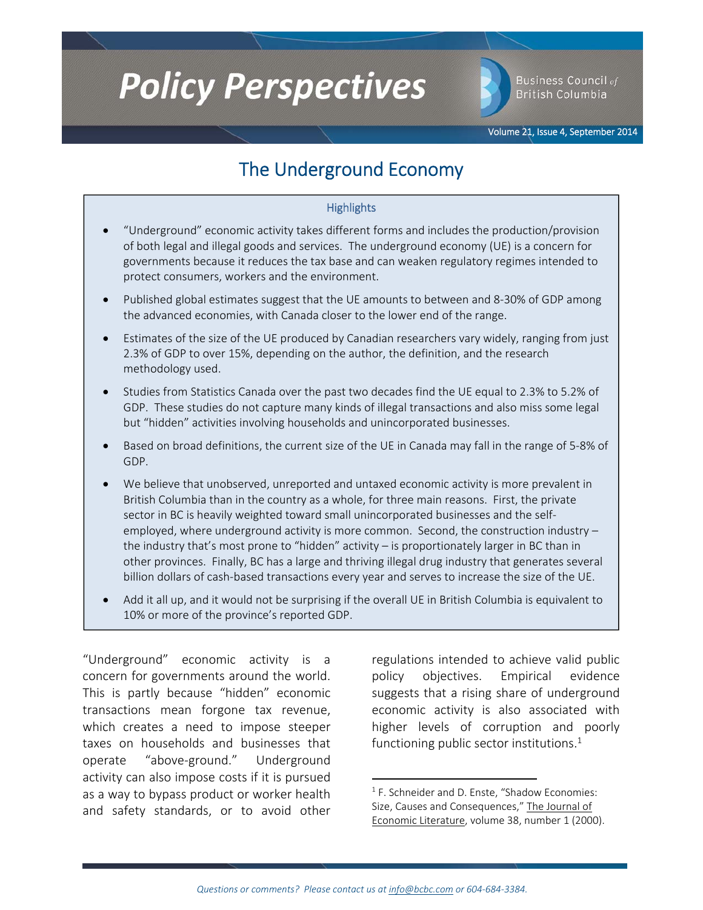# **Policy Perspectives**

Business Council of **British Columbia** 

# The Underground Economy

#### **Highlights**

- "Underground" economic activity takes different forms and includes the production/provision of both legal and illegal goods and services. The underground economy (UE) is a concern for governments because it reduces the tax base and can weaken regulatory regimes intended to protect consumers, workers and the environment.
- Published global estimates suggest that the UE amounts to between and 8‐30% of GDP among the advanced economies, with Canada closer to the lower end of the range.
- Estimates of the size of the UE produced by Canadian researchers vary widely, ranging from just 2.3% of GDP to over 15%, depending on the author, the definition, and the research methodology used.
- Studies from Statistics Canada over the past two decades find the UE equal to 2.3% to 5.2% of GDP. These studies do not capture many kinds of illegal transactions and also miss some legal but "hidden" activities involving households and unincorporated businesses.
- Based on broad definitions, the current size of the UE in Canada may fall in the range of 5‐8% of GDP.
- We believe that unobserved, unreported and untaxed economic activity is more prevalent in British Columbia than in the country as a whole, for three main reasons. First, the private sector in BC is heavily weighted toward small unincorporated businesses and the self‐ employed, where underground activity is more common. Second, the construction industry – the industry that's most prone to "hidden" activity – is proportionately larger in BC than in other provinces. Finally, BC has a large and thriving illegal drug industry that generates several billion dollars of cash-based transactions every year and serves to increase the size of the UE.
- Add it all up, and it would not be surprising if the overall UE in British Columbia is equivalent to 10% or more of the province's reported GDP.

"Underground" economic activity is a concern for governments around the world. This is partly because "hidden" economic transactions mean forgone tax revenue, which creates a need to impose steeper taxes on households and businesses that operate "above‐ground." Underground activity can also impose costs if it is pursued as a way to bypass product or worker health and safety standards, or to avoid other

regulations intended to achieve valid public policy objectives. Empirical evidence suggests that a rising share of underground economic activity is also associated with higher levels of corruption and poorly functioning public sector institutions. $^1$ 

 $1$  F. Schneider and D. Enste, "Shadow Economies: Size, Causes and Consequences," The Journal of Economic Literature, volume 38, number 1 (2000).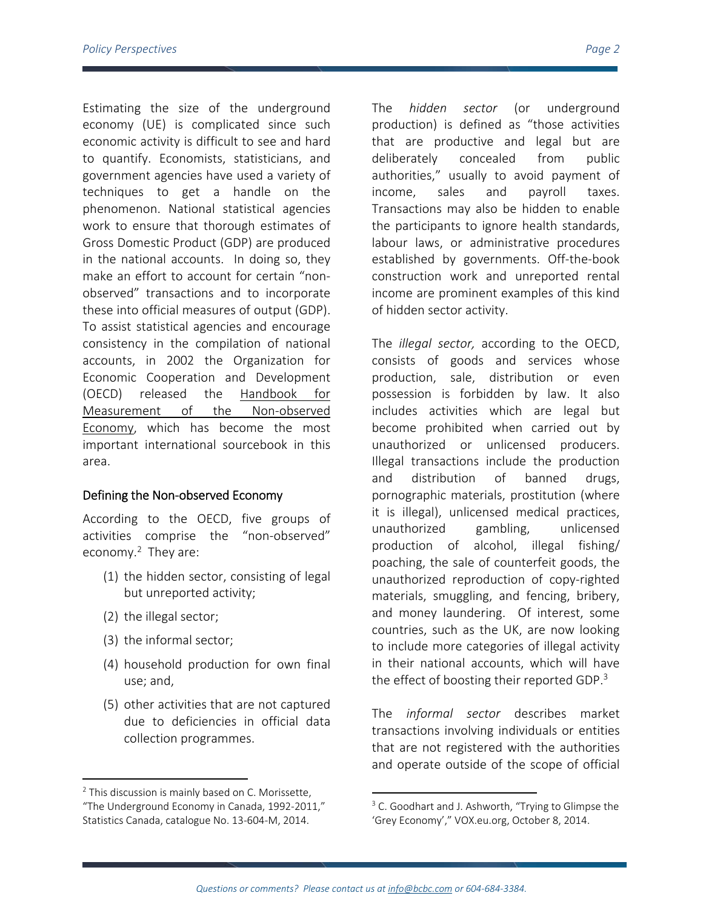Estimating the size of the underground economy (UE) is complicated since such economic activity is difficult to see and hard to quantify. Economists, statisticians, and government agencies have used a variety of techniques to get a handle on the phenomenon. National statistical agencies work to ensure that thorough estimates of Gross Domestic Product (GDP) are produced in the national accounts. In doing so, they make an effort to account for certain "non‐ observed" transactions and to incorporate these into official measures of output (GDP). To assist statistical agencies and encourage consistency in the compilation of national accounts, in 2002 the Organization for Economic Cooperation and Development (OECD) released the Handbook for Measurement of the Non‐observed Economy, which has become the most important international sourcebook in this area.

#### Defining the Non‐observed Economy

According to the OECD, five groups of activities comprise the "non‐observed" economy.<sup>2</sup> They are:

- (1) the hidden sector, consisting of legal but unreported activity;
- (2) the illegal sector;
- (3) the informal sector;

- (4) household production for own final use; and,
- (5) other activities that are not captured due to deficiencies in official data collection programmes.

The *hidden sector* (or underground production) is defined as "those activities that are productive and legal but are deliberately concealed from public authorities," usually to avoid payment of income, sales and payroll taxes. Transactions may also be hidden to enable the participants to ignore health standards, labour laws, or administrative procedures established by governments. Off‐the‐book construction work and unreported rental income are prominent examples of this kind of hidden sector activity.

The *illegal sector,* according to the OECD, consists of goods and services whose production, sale, distribution or even possession is forbidden by law. It also includes activities which are legal but become prohibited when carried out by unauthorized or unlicensed producers. Illegal transactions include the production and distribution of banned drugs, pornographic materials, prostitution (where it is illegal), unlicensed medical practices, unauthorized gambling, unlicensed production of alcohol, illegal fishing/ poaching, the sale of counterfeit goods, the unauthorized reproduction of copy‐righted materials, smuggling, and fencing, bribery, and money laundering. Of interest, some countries, such as the UK, are now looking to include more categories of illegal activity in their national accounts, which will have the effect of boosting their reported GDP.<sup>3</sup>

The *informal sector* describes market transactions involving individuals or entities that are not registered with the authorities and operate outside of the scope of official

 $2$  This discussion is mainly based on C. Morissette, "The Underground Economy in Canada, 1992‐2011," Statistics Canada, catalogue No. 13‐604‐M, 2014.

<sup>&</sup>lt;sup>3</sup> C. Goodhart and J. Ashworth, "Trying to Glimpse the 'Grey Economy'," VOX.eu.org, October 8, 2014.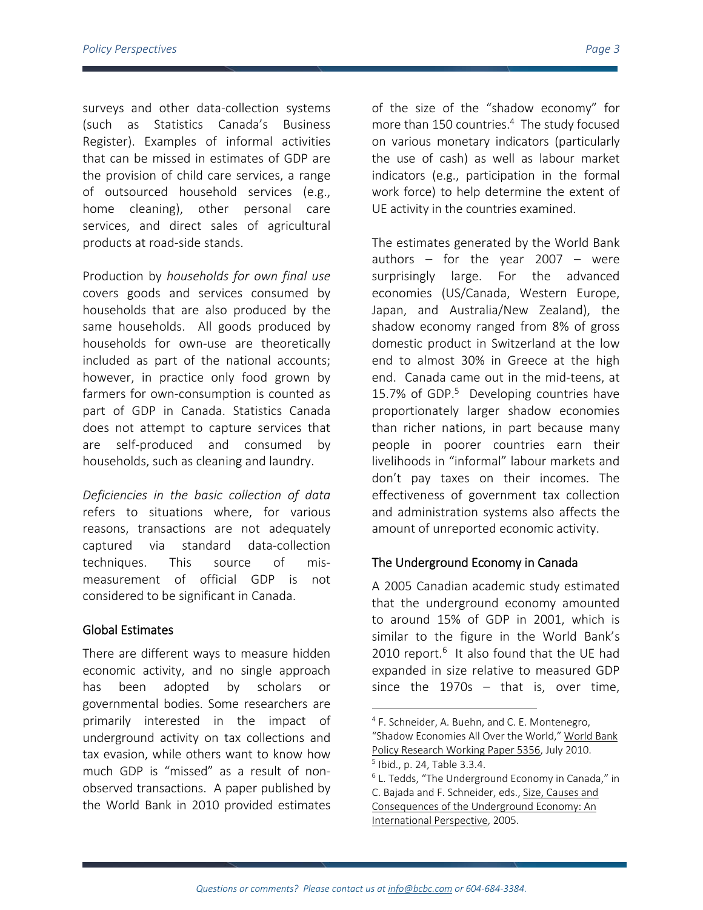surveys and other data-collection systems (such as Statistics Canada's Business Register). Examples of informal activities that can be missed in estimates of GDP are the provision of child care services, a range of outsourced household services (e.g., home cleaning), other personal care services, and direct sales of agricultural products at road‐side stands.

Production by *households for own final use* covers goods and services consumed by households that are also produced by the same households. All goods produced by households for own‐use are theoretically included as part of the national accounts; however, in practice only food grown by farmers for own‐consumption is counted as part of GDP in Canada. Statistics Canada does not attempt to capture services that are self‐produced and consumed by households, such as cleaning and laundry.

*Deficiencies in the basic collection of data*  refers to situations where, for various reasons, transactions are not adequately captured via standard data‐collection techniques. This source of mis‐ measurement of official GDP is not considered to be significant in Canada.

### Global Estimates

There are different ways to measure hidden economic activity, and no single approach has been adopted by scholars or governmental bodies. Some researchers are primarily interested in the impact of underground activity on tax collections and tax evasion, while others want to know how much GDP is "missed" as a result of non‐ observed transactions. A paper published by the World Bank in 2010 provided estimates

of the size of the "shadow economy" for more than 150 countries.<sup>4</sup> The study focused on various monetary indicators (particularly the use of cash) as well as labour market indicators (e.g., participation in the formal work force) to help determine the extent of UE activity in the countries examined.

The estimates generated by the World Bank authors  $-$  for the year 2007  $-$  were surprisingly large. For the advanced economies (US/Canada, Western Europe, Japan, and Australia/New Zealand), the shadow economy ranged from 8% of gross domestic product in Switzerland at the low end to almost 30% in Greece at the high end. Canada came out in the mid‐teens, at 15.7% of GDP. $5$  Developing countries have proportionately larger shadow economies than richer nations, in part because many people in poorer countries earn their livelihoods in "informal" labour markets and don't pay taxes on their incomes. The effectiveness of government tax collection and administration systems also affects the amount of unreported economic activity.

## The Underground Economy in Canada

A 2005 Canadian academic study estimated that the underground economy amounted to around 15% of GDP in 2001, which is similar to the figure in the World Bank's 2010 report. $6$  It also found that the UE had expanded in size relative to measured GDP since the 1970s  $-$  that is, over time,

 <sup>4</sup> F. Schneider, A. Buehn, and C. E. Montenegro,

<sup>&</sup>quot;Shadow Economies All Over the World," World Bank Policy Research Working Paper 5356, July 2010.

 $<sup>5</sup>$  Ibid., p. 24, Table 3.3.4.</sup>

 $6$  L. Tedds, "The Underground Economy in Canada," in C. Bajada and F. Schneider, eds., Size, Causes and Consequences of the Underground Economy: An International Perspective, 2005.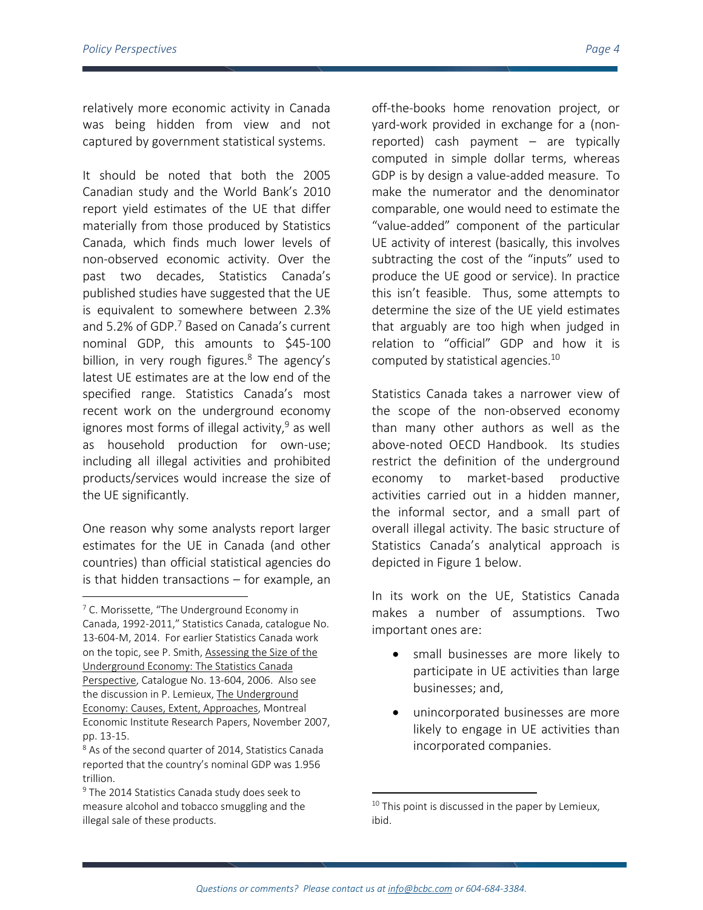relatively more economic activity in Canada was being hidden from view and not captured by government statistical systems.

It should be noted that both the 2005 Canadian study and the World Bank's 2010 report yield estimates of the UE that differ materially from those produced by Statistics Canada, which finds much lower levels of non‐observed economic activity. Over the past two decades, Statistics Canada's published studies have suggested that the UE is equivalent to somewhere between 2.3% and 5.2% of GDP.<sup>7</sup> Based on Canada's current nominal GDP, this amounts to \$45‐100 billion, in very rough figures. $8$  The agency's latest UE estimates are at the low end of the specified range. Statistics Canada's most recent work on the underground economy ignores most forms of illegal activity,  $9$  as well as household production for own‐use; including all illegal activities and prohibited products/services would increase the size of the UE significantly.

One reason why some analysts report larger estimates for the UE in Canada (and other countries) than official statistical agencies do is that hidden transactions – for example, an

off‐the‐books home renovation project, or yard‐work provided in exchange for a (non‐ reported) cash payment – are typically computed in simple dollar terms, whereas GDP is by design a value‐added measure. To make the numerator and the denominator comparable, one would need to estimate the "value‐added" component of the particular UE activity of interest (basically, this involves subtracting the cost of the "inputs" used to produce the UE good or service). In practice this isn't feasible. Thus, some attempts to determine the size of the UE yield estimates that arguably are too high when judged in relation to "official" GDP and how it is computed by statistical agencies. $10<sup>10</sup>$ 

Statistics Canada takes a narrower view of the scope of the non‐observed economy than many other authors as well as the above‐noted OECD Handbook. Its studies restrict the definition of the underground economy to market‐based productive activities carried out in a hidden manner, the informal sector, and a small part of overall illegal activity. The basic structure of Statistics Canada's analytical approach is depicted in Figure 1 below.

In its work on the UE, Statistics Canada makes a number of assumptions. Two important ones are:

- small businesses are more likely to participate in UE activities than large businesses; and,
- unincorporated businesses are more likely to engage in UE activities than incorporated companies.

 $7$  C. Morissette, "The Underground Economy in Canada, 1992‐2011," Statistics Canada, catalogue No. 13‐604‐M, 2014. For earlier Statistics Canada work on the topic, see P. Smith, Assessing the Size of the Underground Economy: The Statistics Canada Perspective, Catalogue No. 13‐604, 2006. Also see the discussion in P. Lemieux, The Underground Economy: Causes, Extent, Approaches, Montreal Economic Institute Research Papers, November 2007, pp. 13‐15.

<sup>&</sup>lt;sup>8</sup> As of the second quarter of 2014, Statistics Canada reported that the country's nominal GDP was 1.956 trillion.

 $9$  The 2014 Statistics Canada study does seek to measure alcohol and tobacco smuggling and the illegal sale of these products.

 $10$  This point is discussed in the paper by Lemieux, ibid.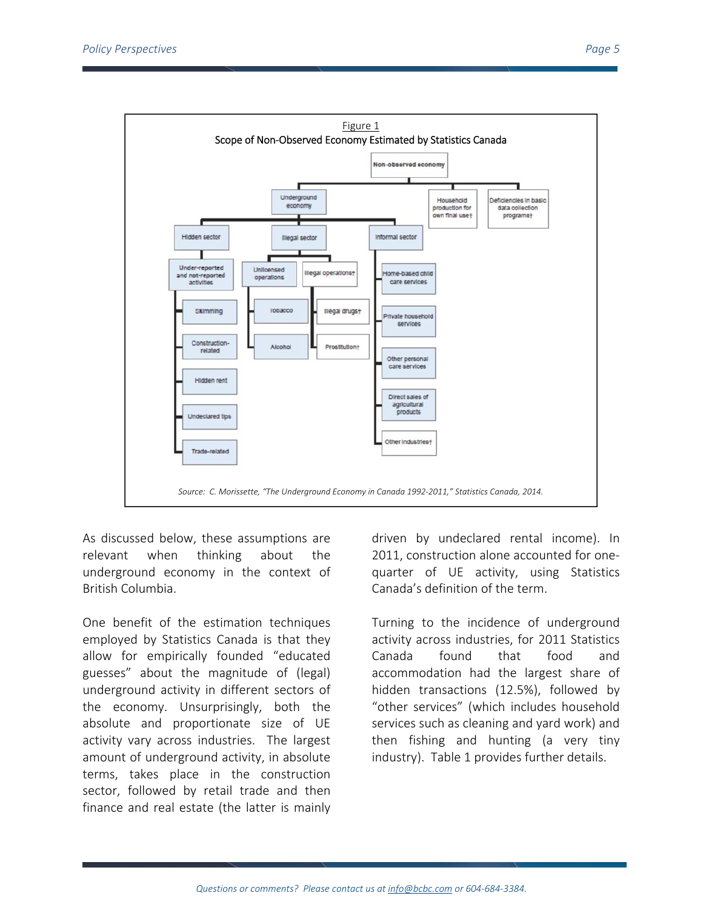

As discussed below, these assumptions are relevant when thinking about the underground economy in the context of British Columbia.

One benefit of the estimation techniques employed by Statistics Canada is that they allow for empirically founded "educated guesses" about the magnitude of (legal) underground activity in different sectors of the economy. Unsurprisingly, both the absolute and proportionate size of UE activity vary across industries. The largest amount of underground activity, in absolute terms, takes place in the construction sector, followed by retail trade and then finance and real estate (the latter is mainly

driven by undeclared rental income). In 2011, construction alone accounted for one‐ quarter of UE activity, using Statistics Canada's definition of the term.

Turning to the incidence of underground activity across industries, for 2011 Statistics Canada found that food and accommodation had the largest share of hidden transactions (12.5%), followed by "other services" (which includes household services such as cleaning and yard work) and then fishing and hunting (a very tiny industry). Table 1 provides further details.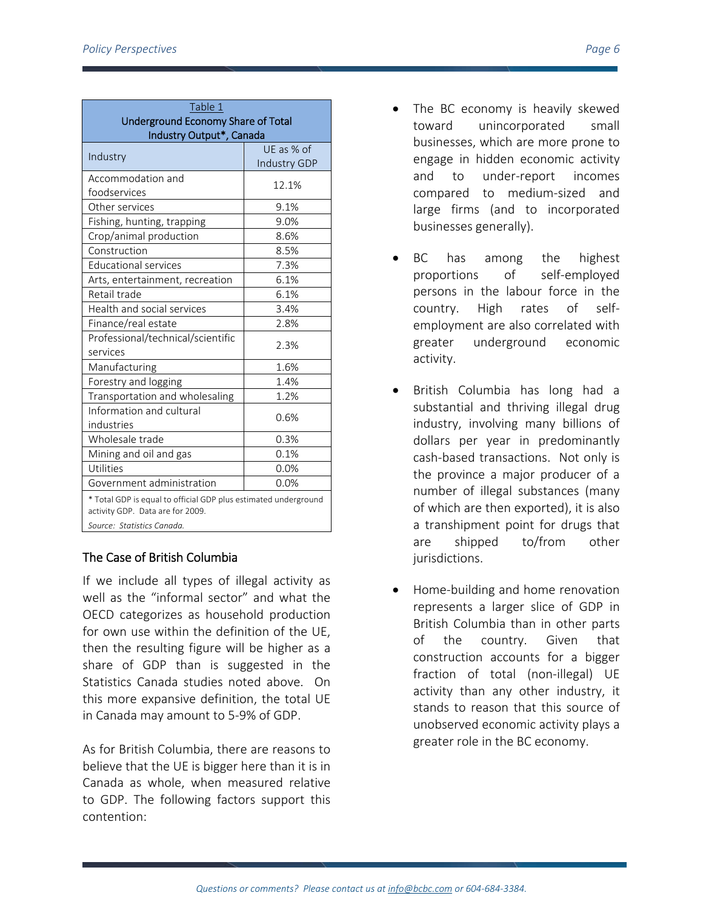| Table 1                                                                                             |                                   |
|-----------------------------------------------------------------------------------------------------|-----------------------------------|
| <b>Underground Economy Share of Total</b><br>Industry Output*, Canada                               |                                   |
| Industry                                                                                            | UE as % of<br><b>Industry GDP</b> |
| Accommodation and                                                                                   |                                   |
| foodservices                                                                                        | 12.1%                             |
| Other services                                                                                      | 9.1%                              |
| Fishing, hunting, trapping                                                                          | 9.0%                              |
| Crop/animal production                                                                              | 8.6%                              |
| Construction                                                                                        | 8.5%                              |
| <b>Educational services</b>                                                                         | 7.3%                              |
| Arts, entertainment, recreation                                                                     | 6.1%                              |
| Retail trade                                                                                        | 6.1%                              |
| Health and social services                                                                          | 3.4%                              |
| Finance/real estate                                                                                 | 2.8%                              |
| Professional/technical/scientific<br>services                                                       | 2.3%                              |
| Manufacturing                                                                                       | 1.6%                              |
| Forestry and logging                                                                                | 1.4%                              |
| Transportation and wholesaling                                                                      | 1.2%                              |
| Information and cultural<br>industries                                                              | 0.6%                              |
| Wholesale trade                                                                                     | 0.3%                              |
| Mining and oil and gas                                                                              | 0.1%                              |
| Utilities                                                                                           | 0.0%                              |
| Government administration                                                                           | 0.0%                              |
| * Total GDP is equal to official GDP plus estimated underground<br>activity GDP. Data are for 2009. |                                   |
| Source: Statistics Canada.                                                                          |                                   |

# The Case of British Columbia

If we include all types of illegal activity as well as the "informal sector" and what the OECD categorizes as household production for own use within the definition of the UE, then the resulting figure will be higher as a share of GDP than is suggested in the Statistics Canada studies noted above. On this more expansive definition, the total UE in Canada may amount to 5‐9% of GDP.

As for British Columbia, there are reasons to believe that the UE is bigger here than it is in Canada as whole, when measured relative to GDP. The following factors support this contention:

- The BC economy is heavily skewed toward unincorporated small businesses, which are more prone to engage in hidden economic activity and to under‐report incomes compared to medium‐sized and large firms (and to incorporated businesses generally).
- BC has among the highest proportions of self‐employed persons in the labour force in the country. High rates of self‐ employment are also correlated with greater underground economic activity.
- British Columbia has long had a substantial and thriving illegal drug industry, involving many billions of dollars per year in predominantly cash‐based transactions. Not only is the province a major producer of a number of illegal substances (many of which are then exported), it is also a transhipment point for drugs that are shipped to/from other jurisdictions.
- Home‐building and home renovation represents a larger slice of GDP in British Columbia than in other parts of the country. Given that construction accounts for a bigger fraction of total (non-illegal) UE activity than any other industry, it stands to reason that this source of unobserved economic activity plays a greater role in the BC economy.